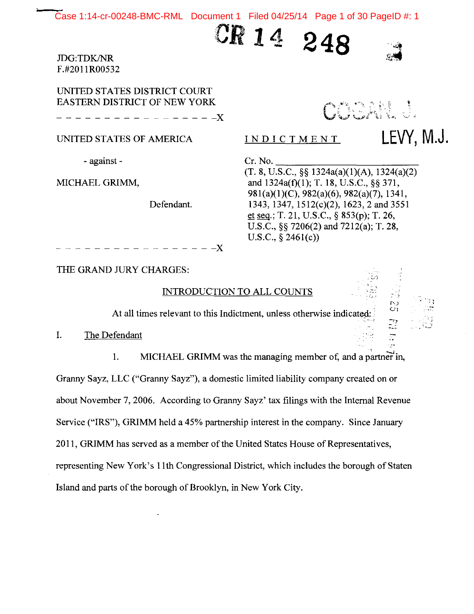Case 1:14-cr-00248-BMC-RML Document 1 Filed 04/25/14 Page 1 of 30 PageID #: 1

:CR **14** 

JDG:TDK/NR F.#201 IR00532

UNITED STATES DISTRICT COURT EASTERN DISTRICT OF NEW YORK

----------------~

UNITED STATES OF AMERICA **INDICTMENT LEVY, M.J.** 

- against -

MICHAEL GRIMM,

Defendant.

NATION

 $,\mathbb{C}$  ;

Cr. No.<br>(T. 8, U.S.C., §§ 1324a(a)(1)(A), 1324(a)(2) and 1324a(f)(l); T. 18, U.S.C., §§ 371, 981(a)(l)(C), 982(a)(6), 982(a)(7), 1341, 1343, 1347, 1512(c)(2), 1623, 2 and 3551 et seq.; T. 21, U.S.C., § 853(p); T. 26, U.S.C., §§ 7206(2) and 7212(a); T. 28, U.S.C., § 2461(c))

**248** 

----------------~

THE GRAND JURY CHARGES:

# INTRODUCTION TO ALL COUNTS

At all times relevant to this Indictment, unless otherwise indicated:

I. The Defendant

1. MICHAEL GRIMM was the managing member of, and a partner in, Granny Sayz, LLC ("Granny Sayz"), a domestic limited liability company created on or about November 7, 2006. According to Granny Sayz' tax filings with the Internal Revenue Service ("IRS"), GRIMM held a 45% partnership interest in the company. Since January 2011, GRIMM has served as a member of the United States House of Representatives, representing New York's I Ith Congressional District, which includes the borough of Staten Island and parts of the borough of Brooklyn, in New York City.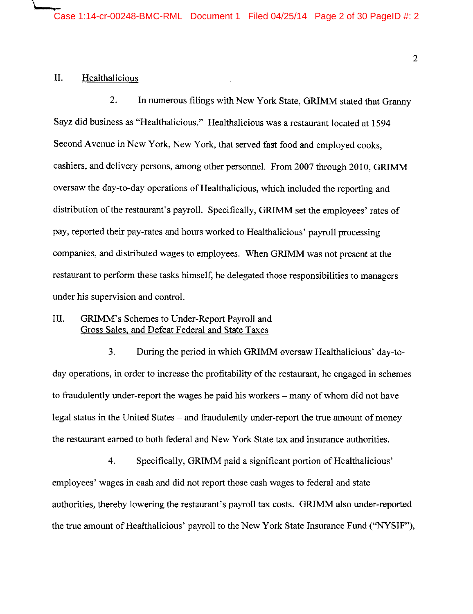## II. Healthalicious

\

2. In numerous filings with New York State, GRIMM stated that Granny Sayz did business as "Healthalicious." Healthalicious was a restaurant located at 1594 Second Avenue in New York, New York, that served fast food and employed cooks, cashiers, and delivery persons, among other personnel. From 2007 through 2010, GRIMM oversaw the day-to-day operations of Healthalicious, which included the reporting and distribution of the restaurant's payroll. Specifically, GRIMM set the employees' rates of pay, reported their pay-rates and hours worked to Healthalicious' payroll processing companies, and distributed wages to employees. When GRIMM was not present at the restaurant to perform these tasks himself, he delegated those responsibilities to managers under his supervision and control.

# III. GRIMM's Schemes to Under-Report Payroll and Gross Sales, and Defeat Federal and State Taxes

3. During the period in which GRIMM oversaw Healthalicious' day-today operations, in order to increase the profitability of the restaurant, he engaged in schemes to fraudulently under-report the wages he paid his workers – many of whom did not have legal status in the United States – and fraudulently under-report the true amount of money the restaurant earned to both federal and New York State tax and insurance authorities.

4. Specifically, GRIMM paid a significant portion of Healthalicious' employees' wages in cash and did not report those cash wages to federal and state authorities, thereby lowering the restaurant's payroll tax costs. GRIMM also under-reported the true amount of Healthalicious' payroll to the New York State Insurance Fund ("NYSIF"),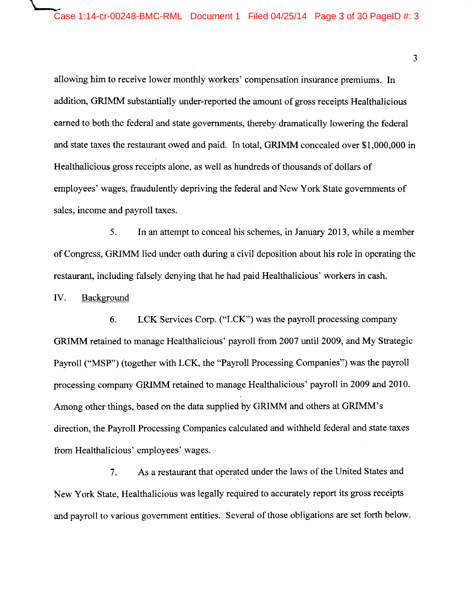allowing him to receive lower monthly workers' compensation insurance premiums. In addition, GRIMM substantially under-reported the amount of gross receipts Healthalicious earned to both the federal and state governments, thereby dramatically lowering the federal and state taxes the restaurant owed and paid. In total, GRIMM concealed over \$1,000,000 in Healthalicious gross receipts alone, as well as hundreds of thousands of dollars of employees' wages, fraudulently depriving the federal and New York State governments of sales, income and payroll taxes.

5. In an attempt to conceal his schemes, in January 2013, while a member of Congress, GRIMM lied under oath during a civil deposition about his role in operating the restaurant, including falsely denying that he had paid Healthalicious' workers in cash.

IV. Background

6. LCK Services Corp. ("LCK") was the payroll processing company GRIMM retained to manage Healthalicious' payroll from 2007 until 2009, and My Strategic Payroll ("MSP") (together with LCK, the "Payroll Processing Companies") was the payroll processing company GRIMM retained to manage Healthalicious' payroll in 2009 and 2010. Among other things, based on the data supplied by GRIMM and others at GRIMM's direction, the Payroll Processing Companies calculated and withheld federal and state taxes from Healthalicious' employees' wages.

7. As a restaurant that operated under the laws of the United States and New York State, Healthalicious was legally required to accurately report its gross receipts and payroll to various government entities. Several of those obligations are set forth below.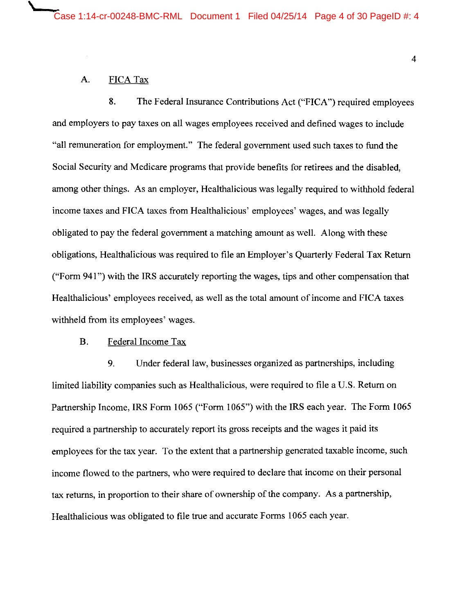## A. FICA Tax

\

8. The Federal Insurance Contributions Act ("FICA") required employees and employers to pay taxes on all wages employees received and defined wages to include "all remuneration for employment." The federal government used such taxes to fund the Social Security and Medicare programs that provide benefits for retirees and the disabled, among other things. As an employer, Healthalicious was legally required to withhold federal income taxes and FICA taxes from Healthalicious' employees' wages, and was legally obligated to pay the federal government a matching amount as well. Along with these obligations, Healthalicious was required to file an Employer's Quarterly Federal Tax Return ("Form 941") with the IRS accurately reporting the wages, tips and other compensation that Healthalicious' employees received, as well as the total amount of income and FICA taxes withheld from its employees' wages.

### B. Federal Income Tax

9. Under federal law, businesses organized as partnerships, including limited liability companies such as Healthalicious, were required to file a U.S. Return on Partnership Income, IRS Form 1065 ("Form 1065") with the IRS each year. The Form 1065 required a partnership to accurately report its gross receipts and the wages it paid its employees for the tax year. To the extent that a partnership generated taxable income, such income flowed to the partners, who were required to declare that income on their personal tax returns, in proportion to their share of ownership of the company. As a partnership, Healthalicious was obligated to file true and accurate Forms 1065 each year.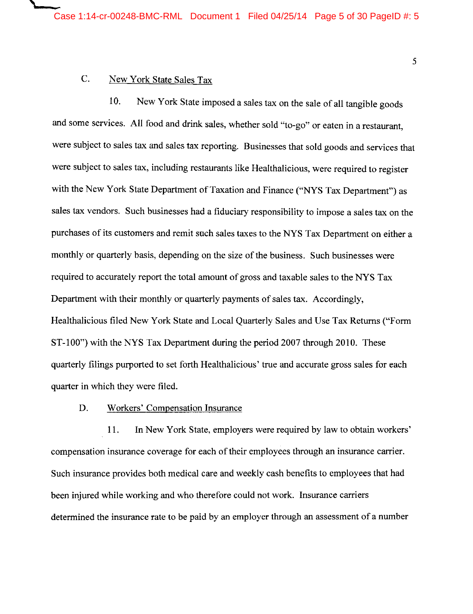# C. New York State Sales Tax

 $\qquad \qquad$ 

10. New York State imposed a sales tax on the sale of all tangible goods and some services. All food and drink sales, whether sold "to-go" or eaten in a restaurant, were subject to sales tax and sales tax reporting. Businesses that sold goods and services that were subject to sales tax, including restaurants like Healthalicious, were required to register with the New York State Department of Taxation and Finance ("NYS Tax Department") as sales tax vendors. Such businesses had a fiduciary responsibility to impose a sales tax on the purchases of its customers and remit such sales taxes to the NYS Tax Department on either a monthly or quarterly basis, depending on the size of the business. Such businesses were required to accurately report the total amount of gross and taxable sales to the NYS Tax Department with their monthly or quarterly payments of sales tax. Accordingly, Healthalicious filed New York State and Local Quarterly Sales and Use Tax Returns ("Form ST-100") with the NYS Tax Department during the period 2007 through 2010. These quarterly filings purported to set forth Healthalicious' true and accurate gross sales for each quarter in which they were filed.

#### D. Workers' Compensation Insurance

11. In New York State, employers were required by law to obtain workers' compensation insurance coverage for each of their employees through an insurance carrier. Such insurance provides both medical care and weekly cash benefits to employees that had been injured while working and who therefore could not work. Insurance carriers determined the insurance rate to be paid by an employer through an assessment of a number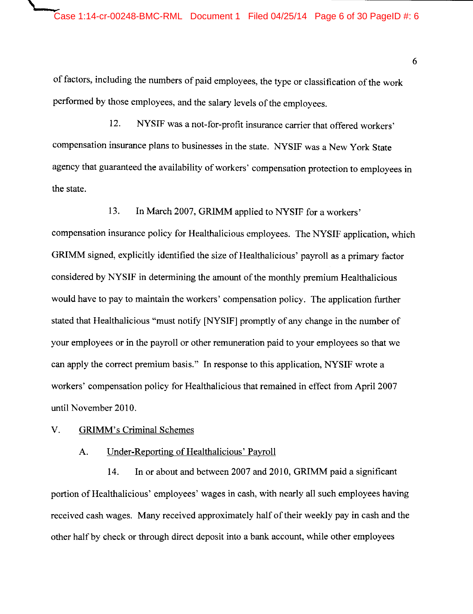of factors, including the numbers of paid employees, the type or classification of the work performed by those employees, and the salary levels of the employees.

12. NYSIF was a not-for-profit insurance carrier that offered workers' compensation insurance plans to businesses in the state. NYSIF was a New York State agency that guaranteed the availability of workers' compensation protection to employees in the state.

13. In March 2007, GRIMM applied to NYSIF for a workers' compensation insurance policy for Healthalicious employees. The NYSIF application, which GRIMM signed, explicitly identified the size of Healthalicious' payroll as a primary factor considered by NYSIF in determining the amount of the monthly premium Healthalicious would have to pay to maintain the workers' compensation policy. The application further stated that Healthalicious "must notify [NYSIF] promptly of any change in the number of your employees or in the payroll or other remuneration paid to your employees so that we can apply the correct premium basis." In response to this application, NYSIF wrote a workers' compensation policy for Healthalicious that remained in effect from April 2007 until November 2010.

#### V. GRIMM's Criminal Schemes

#### A. Under-Reporting of Healthalicious' Payroll

14. In or about and between 2007 and 2010, GRIMM paid a significant portion of Healthalicious' employees' wages in cash, with nearly all such employees having received cash wages. Many received approximately half of their weekly pay in cash and the other half by check or through direct deposit into a bank account, while other employees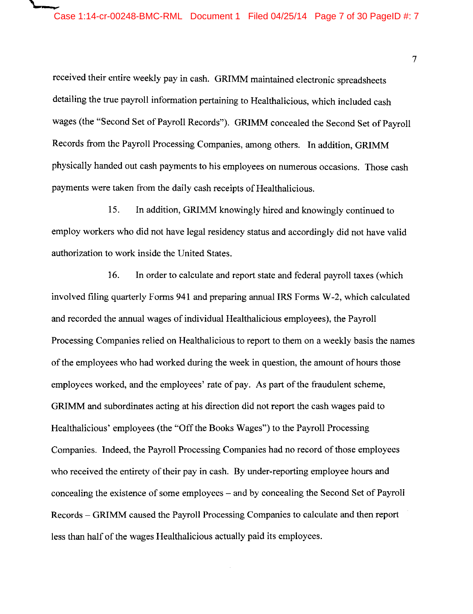$\overline{r}$ 

received their entire weekly pay in cash. GRIMM maintained electronic spreadsheets detailing the true payroll information pertaining to Healthalicious, which included cash wages (the "Second Set of Payroll Records"). GRIMM concealed the Second Set of Payroll Records from the Payroll Processing Companies, among others. In addition, GRIMM physically handed out cash payments to his employees on numerous occasions. Those cash payments were taken from the daily cash receipts of Healthalicious.

15. In addition, GRIMM knowingly hired and knowingly continued to employ workers who did not have legal residency status and accordingly did not have valid authorization to work inside the United States.

16. In order to calculate and report state and federal payroll taxes (which involved filing quarterly Forms 941 and preparing annual IRS Forms W-2, which calculated and recorded the annual wages of individual Healthalicious employees), the Payroll Processing Companies relied on Healthalicious to report to them on a weekly basis the names of the employees who had worked during the week in question, the amount of hours those employees worked, and the employees' rate of pay. As part of the fraudulent scheme, GRIMM and subordinates acting at his direction did not report the cash wages paid to Healthalicious' employees (the "Off the Books Wages") to the Payroll Processing Companies. Indeed, the Payroll Processing Companies had no record of those employees who received the entirety of their pay in cash. By under-reporting employee hours and concealing the existence of some employees - and by concealing the Second Set of Payroll Records - GRIMM caused the Payroll Processing Companies to calculate and then report less than half of the wages Healthalicious actually paid its employees.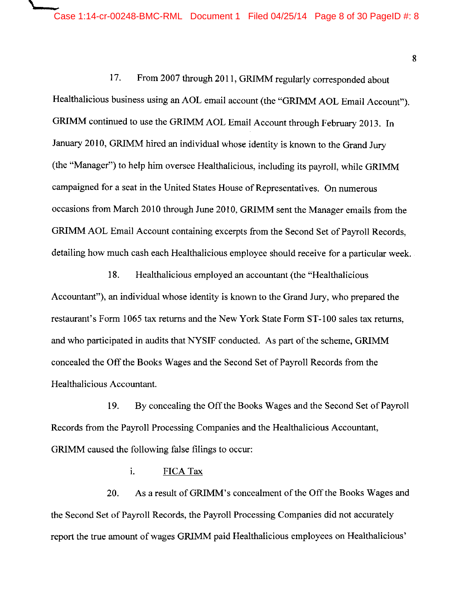17. From 2007 through 2011, GRIMM regularly corresponded about Healthalicious business using an AOL email account (the "GRIMM AOL Email Account"). GRIMM continued to use the GRIMM AOL Email Account through February 2013. In January 2010, GRIMM hired an individual whose identity is known to the Grand Jury (the "Manager") to help him oversee Healthalicious, including its payroll, while GRIMM campaigned for a seat in the United States House of Representatives. On numerous occasions from March 2010 through June 2010, GRIMM sent the Manager emails from the GRIMM AOL Email Account containing excerpts from the Second Set of Payroll Records, detailing how much cash each Healthalicious employee should receive for a particular week.

18. Healthalicious employed an accountant (the "Healthalicious Accountant"), an individual whose identity is known to the Grand Jury, who prepared the restaurant's Form 1065 tax returns and the New York State Form ST-100 sales tax returns, and who participated in audits that NYSIF conducted. As part of the scheme, GRIMM concealed the Off the Books Wages and the Second Set of Payroll Records from the Healthalicious Accountant.

19. By concealing the Off the Books Wages and the Second Set of Payroll Records from the Payroll Processing Companies and the Healthalicious Accountant, GRIMM caused the following false filings to occur:

i. FICA Tax

20. As a result of GRIMM's concealment of the Off the Books Wages and the Second Set of Payroll Records, the Payroll Processing Companies did not accurately report the true amount of wages GRIMM paid Healthalicious employees on Healthalicious'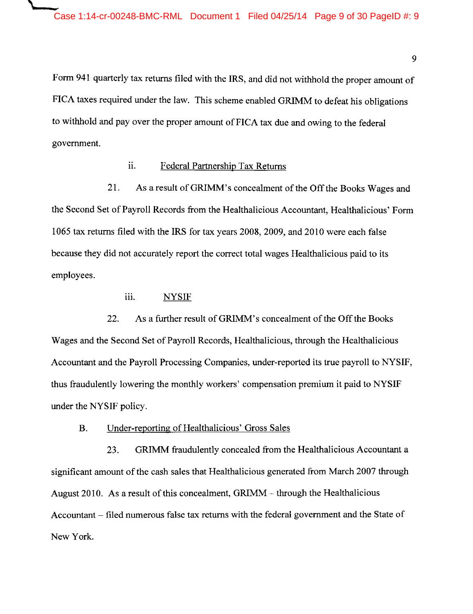Form 941 quarterly tax returns filed with the IRS, and did not withhold the proper amount of FICA taxes required under the law. This scheme enabled GRIMM to defeat his obligations to withhold and pay over the proper amount of FICA tax due and owing to the federal government.

### ii. Federal Partnership Tax Returns

21. As a result of GRIMM's concealment of the Off the Books Wages and the Second Set of Payroll Records from the Healthalicious Accountant, Healthalicious' Form 1065 tax returns filed with the IRS for tax years 2008, 2009, and 2010 were each false because they did not accurately report the correct total wages Healthalicious paid to its employees.

# iii. NYSIF

 $\blacksquare$ 

22. As a further result of GRIMM's concealment of the Off the Books Wages and the Second Set of Payroll Records, Healthalicious, through the Healthalicious Accountant and the Payroll Processing Companies, under-reported its true payroll to NYSIF, thus fraudulently lowering the monthly workers' compensation premium it paid to NYSIF under the NYSIF policy.

### B. Under-reporting of Healthalicious' Gross Sales

23. GRIMM fraudulently concealed from the Healthalicious Accountant a significant amount of the cash sales that Healthalicious generated from March 2007 through August 2010. As a result of this concealment,  $GRIMM -$  through the Healthalicious Accountant – filed numerous false tax returns with the federal government and the State of New York.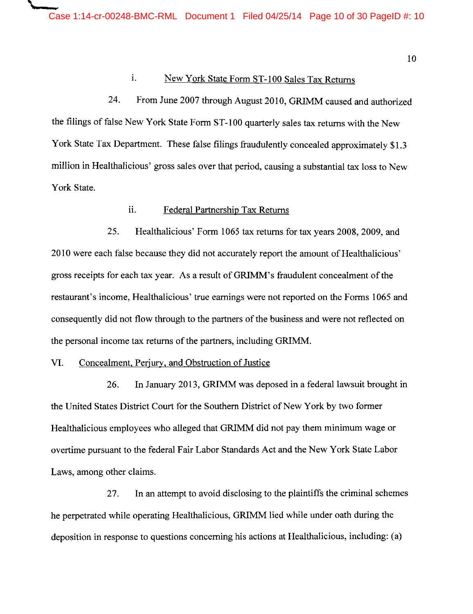IO

### 1. New York State Form ST-100 Sales Tax Returns

24. From June 2007 through August 2010, GRIMM caused and authorized the filings of false New York State Form ST-100 quarterly sales tax returns with the New York State Tax Department. These false filings fraudulently concealed approximately \$1.3 million in Healthalicious' gross sales over that period, causing a substantial tax loss to New York State.

# ii. Federal Partnership Tax Returns

25. Healthalicious' Form 1065 tax returns for tax years 2008, 2009, and 2010 were each false because they did not accurately report the amount of Healthalicious' gross receipts for each tax year. As a result ofGRIMM's fraudulent concealment of the restaurant's income, Healthalicious' true earnings were not reported on the Forms 1065 and consequently did not flow through to the partners of the business and were not reflected on the personal income tax returns of the partners, including GRIMM.

#### VI. Concealment, Perjury, and Obstruction of Justice

\

26. In January 2013, GRIMM was deposed in a federal lawsuit brought in the United States District Court for the Southern District of New York by two former Healthalicious employees who alleged that GRIMM did not pay them minimum wage or overtime pursuant to the federal Fair Labor Standards Act and the New York State Labor Laws, among other claims.

27. In an attempt to avoid disclosing to the plaintiffs the criminal schemes he perpetrated while operating Healthalicious, GRIMM lied while under oath during the deposition in response to questions concerning his actions at Healthalicious, including: (a)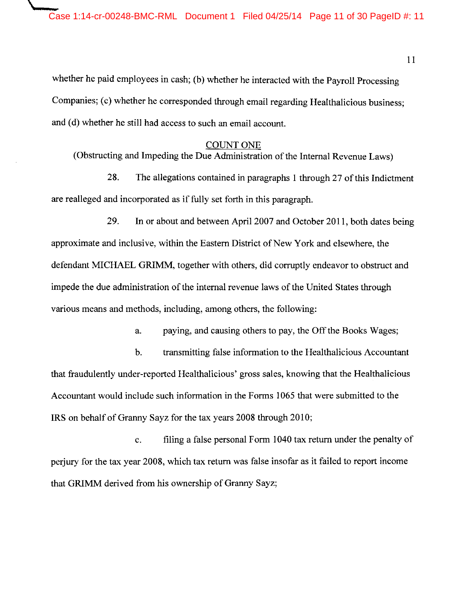$\iota$ 

whether he paid employees in cash; (b) whether he interacted with the Payroll Processing Companies; (c) whether he corresponded through email regarding Healthalicious business; and (d) whether he still had access to such an email account.

#### COUNT ONE

(Obstructing and Impeding the Due Administration of the Internal Revenue Laws)

28. The allegations contained in paragraphs I through 27 of this Indictment are realleged and incorporated as if fully set forth in this paragraph.

29. In or about and between April 2007 and October 2011, both dates being approximate and inclusive, within the Eastern District of New York and elsewhere, the defendant MICHAEL GRIMM, together with others, did corruptly endeavor to obstruct and impede the due administration of the internal revenue laws of the United States through various means and methods, including, among others, the following:

a. paying, and causing others to pay, the Off the Books Wages;

b. transmitting false information to the Healthalicious Accountant that fraudulently under-reported Healthalicious' gross sales, knowing that the Healthalicious Accountant would include such information in the Forms 1065 that were submitted to the IRS on behalf of Granny Sayz for the tax years 2008 through 2010;

c. filing a false personal Form I 040 tax return under the penalty of perjury for the tax year 2008, which tax return was false insofar as it failed to report income that GRIMM derived from his ownership of Granny Sayz;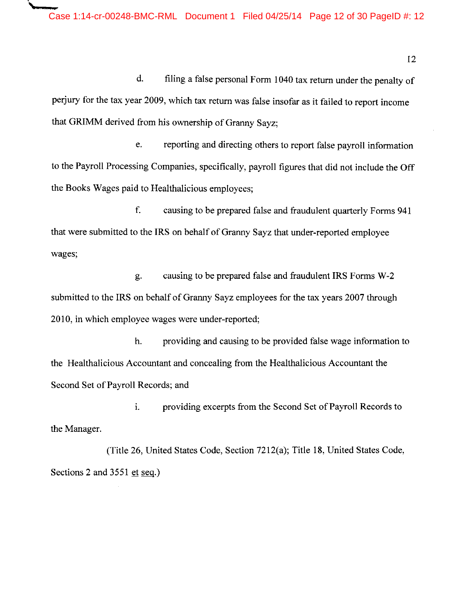d. filing a false personal Form I 040 tax return under the penalty of perjury for the tax year 2009, which tax return was false insofar as it failed to report income that GRIMM derived from his ownership of Granny Sayz;

e. reporting and directing others to report false payroll information to the Payroll Processing Companies, specifically, payroll figures that did not include the Off the Books Wages paid to Healthalicious employees;

f. causing to be prepared false and fraudulent quarterly Forms 941 that were submitted to the IRS on behalf of Granny Sayz that under-reported employee wages;

g. causing to be prepared false and fraudulent IRS Forms W-2 submitted to the IRS on behalf of Granny Sayz employees for the tax years 2007 through 2010, in which employee wages were under-reported;

h. providing and causing to be provided false wage information to the Healthalicious Accountant and concealing from the Healthalicious Accountant the Second Set of Payroll Records; and

1. providing excerpts from the Second Set of Payroll Records to the Manager.

(Title 26, United States Code, Section 7212(a); Title 18, United States Code, Sections 2 and 3551 et seq.)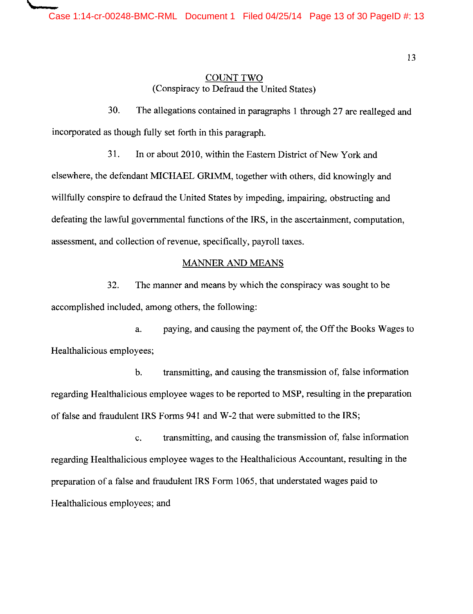\

# COUNT TWO (Conspiracy to Defraud the United States)

30. The allegations contained in paragraphs 1 through 27 are realleged and incorporated as though fully set forth in this paragraph.

31. In or about 2010, within the Eastern District of New York and elsewhere, the defendant MICHAEL GRIMM, together with others, did knowingly and willfully conspire to defraud the United States by impeding, impairing, obstructing and defeating the lawful governmental functions of the IRS, in the ascertainment, computation, assessment, and collection of revenue, specifically, payroll taxes.

### MANNER AND MEANS

32. The manner and means by which the conspiracy was sought to be accomplished included, among others, the following:

a. paying, and causing the payment of, the Off the Books Wages to Healthalicious employees;

b. transmitting, and causing the transmission of, false information regarding Healthalicious employee wages to be reported to MSP, resulting in the preparation of false and fraudulent IRS Forms 941 and W-2 that were submitted to the IRS;

c. transmitting, and causing the transmission of, false information regarding Healthalicious employee wages to the Healthalicious Accountant, resulting in the preparation of a false and fraudulent IRS Form 1065, that understated wages paid to Healthalicious employees; and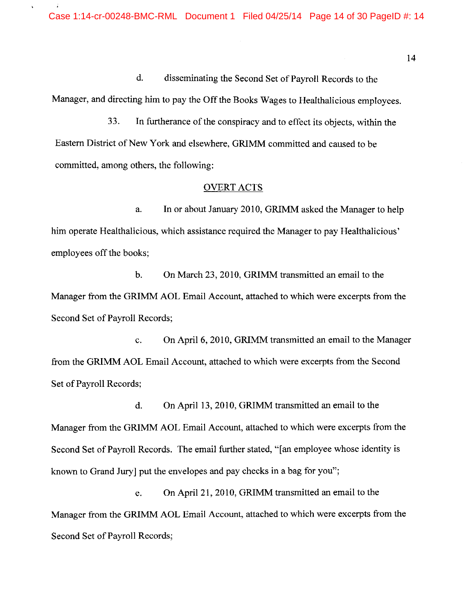d. disseminating the Second Set of Payroll Records to the Manager, and directing him to pay the Off the Books Wages to Healthalicious employees.

33. In furtherance of the conspiracy and to effect its objects, within the Eastern District of New York and elsewhere, GRIMM committed and caused to be committed, among others, the following:

#### OVERT ACTS

a. In or about January 2010, GRIMM asked the Manager to help him operate Healthalicious, which assistance required the Manager to pay Healthalicious' employees off the books;

b. On March 23, 2010, GRIMM transmitted an email to the Manager from the GRIMM AOL Email Account, attached to which were excerpts from the Second Set of Payroll Records;

c. On April 6, 2010, GRIMM transmitted an email to the Manager from the GRIMM AOL Email Account, attached to which were excerpts from the Second Set of Payroll Records;

d. On April 13, 2010, GRIMM transmitted an email to the Manager from the GRIMM AOL Email Account, attached to which were excerpts from the Second Set of Payroll Records. The email further stated, "[an employee whose identity is known to Grand Jury) put the envelopes and pay checks in a bag for you";

e. On April 21, 2010, GRIMM transmitted an email to the Manager from the GRIMM AOL Email Account, attached to which were excerpts from the Second Set of Payroll Records;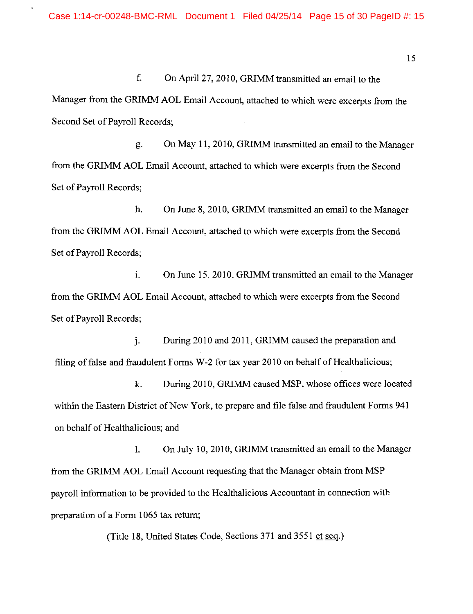f. On April 27, 2010, GRIMM transmitted an email to the Manager from the GRIMM AOL Email Account, attached to which were excerpts from the Second Set of Payroll Records;

g. On May 11, 2010, GRIMM transmitted an email to the Manager from the GRIMM AOL Email Account, attached to which were excerpts from the Second Set of Payroll Records;

h. On June 8, 2010, GRIMM transmitted an email to the Manager from the GRIMM AOL Email Account, attached to which were excerpts from the Second Set of Payroll Records;

1. On June 15, 2010, GRIMM transmitted an email to the Manager from the GRIMM AOL Email Account, attached to which were excerpts from the Second Set of Payroll Records;

j. During 2010 and 2011, GRIMM caused the preparation and filing of false and fraudulent Forms  $W-2$  for tax year 2010 on behalf of Healthalicious;

k. During 2010, GRIMM caused MSP, whose offices were located within the Eastern District of New York, to prepare and file false and fraudulent Forms 941 on behalf of Healthalicious; and

I. On July 10, 2010, GRIMM transmitted an email to the Manager from the GRIMM AOL Email Account requesting that the Manager obtain from MSP payroll information to be provided to the Healthalicious Accountant in connection with preparation of a Form 1065 tax return;

(Title 18, United States Code, Sections 371 and 3551 et seq.)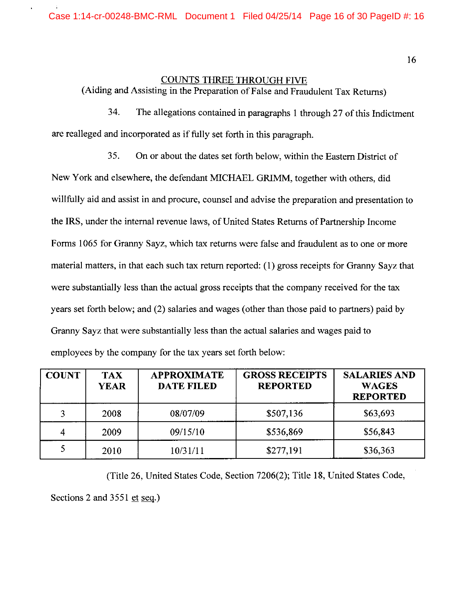# COUNTS THREE THROUGH FIVE

(Aiding and Assisting in the Preparation of False and Fraudulent Tax Returns)

34. The allegations contained in paragraphs 1 through 27 of this Indictment are realleged and incorporated as if fully set forth in this paragraph.

35. On or about the dates set forth below, within the Eastern District of New York and elsewhere, the defendant MICHAEL GRIMM, together with others, did willfully aid and assist in and procure, counsel and advise the preparation and presentation to the IRS, under the internal revenue laws, of United States Returns of Partnership Income Forms 1065 for Granny Sayz, which tax returns were false and fraudulent as to one or more material matters, in that each such tax return reported: ( 1) gross receipts for Granny Sayz that were substantially less than the actual gross receipts that the company received for the tax years set forth below; and (2) salaries and wages (other than those paid to partners) paid by Granny Sayz that were substantially less than the actual salaries and wages paid to employees by the company for the tax years set forth below:

| <b>COUNT</b> | <b>TAX</b><br><b>YEAR</b> | <b>APPROXIMATE</b><br><b>DATE FILED</b> | <b>GROSS RECEIPTS</b><br><b>REPORTED</b> | <b>SALARIES AND</b><br><b>WAGES</b><br><b>REPORTED</b> |
|--------------|---------------------------|-----------------------------------------|------------------------------------------|--------------------------------------------------------|
| 3            | 2008                      | 08/07/09                                | \$507,136                                | \$63,693                                               |
| 4            | 2009                      | 09/15/10                                | \$536,869                                | \$56,843                                               |
|              | 2010                      | 10/31/11                                | \$277,191                                | \$36,363                                               |

(Title 26, United States Code, Section 7206(2); Title 18, United States Code, Sections 2 and 3551 et seq.)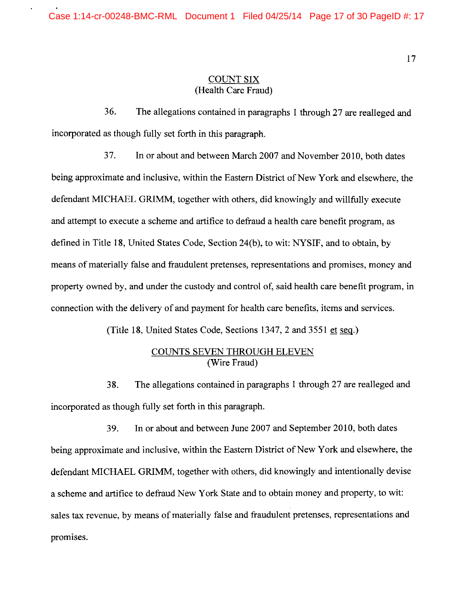### COUNT SIX (Health Care Fraud)

36. The allegations contained in paragraphs 1 through 27 are realleged and incorporated as though fully set forth in this paragraph.

37. In or about and between March 2007 and November 2010, both dates being approximate and inclusive, within the Eastern District of New York and elsewhere, the defendant MICHAEL GRIMM, together with others, did knowingly and willfully execute and attempt to execute a scheme and artifice to defraud a health care benefit program, as defined in Title 18, United States Code, Section 24(b), to wit: NYSIF, and to obtain, by means of materially false and fraudulent pretenses, representations and promises, money and property owned by, and under the custody and control of, said health care benefit program, in connection with the delivery of and payment for health care benefits, items and services.

(Title 18, United States Code, Sections 1347, 2 and 3551 et seq.)

## COUNTS SEVEN THROUGH ELEVEN (Wire Fraud)

38. The allegations contained in paragraphs 1 through 27 are realleged and incorporated as though fully set forth in this paragraph.

39. In or about and between June 2007 and September 2010, both dates being approximate and inclusive, within the Eastern District of New York and elsewhere, the defendant MICHAEL GRIMM, together with others, did knowingly and intentionally devise a scheme and artifice to defraud New York State and to obtain money and property, to wit: sales tax revenue, by means of materially false and fraudulent pretenses, representations and promises.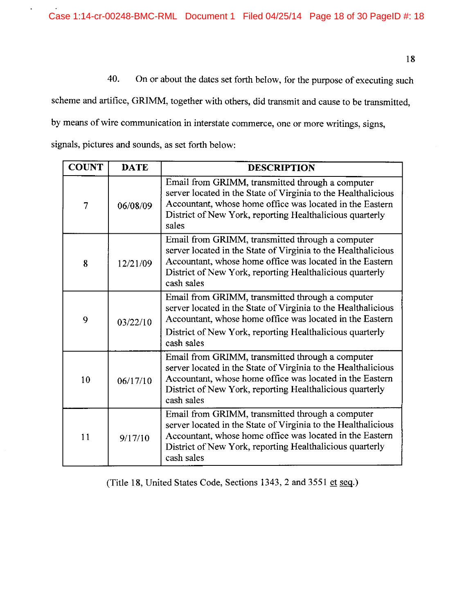40. On or about the dates set forth below, for the purpose of executing such

scheme and artifice, GRIMM, together with others, did transmit and cause to be transmitted, by means of wire communication in interstate commerce, one or more writings, signs,

signals, pictures and sounds, as set forth below:

| <b>COUNT</b>   | <b>DATE</b> | <b>DESCRIPTION</b>                                                                                                                                                                                                                                      |
|----------------|-------------|---------------------------------------------------------------------------------------------------------------------------------------------------------------------------------------------------------------------------------------------------------|
| $\overline{7}$ | 06/08/09    | Email from GRIMM, transmitted through a computer<br>server located in the State of Virginia to the Healthalicious<br>Accountant, whose home office was located in the Eastern<br>District of New York, reporting Healthalicious quarterly<br>sales      |
| 8              | 12/21/09    | Email from GRIMM, transmitted through a computer<br>server located in the State of Virginia to the Healthalicious<br>Accountant, whose home office was located in the Eastern<br>District of New York, reporting Healthalicious quarterly<br>cash sales |
| 9              | 03/22/10    | Email from GRIMM, transmitted through a computer<br>server located in the State of Virginia to the Healthalicious<br>Accountant, whose home office was located in the Eastern<br>District of New York, reporting Healthalicious quarterly<br>cash sales |
| 10             | 06/17/10    | Email from GRIMM, transmitted through a computer<br>server located in the State of Virginia to the Healthalicious<br>Accountant, whose home office was located in the Eastern<br>District of New York, reporting Healthalicious quarterly<br>cash sales |
| 11             | 9/17/10     | Email from GRIMM, transmitted through a computer<br>server located in the State of Virginia to the Healthalicious<br>Accountant, whose home office was located in the Eastern<br>District of New York, reporting Healthalicious quarterly<br>cash sales |

(Title 18, United States Code, Sections 1343, 2 and 3551 et seq.)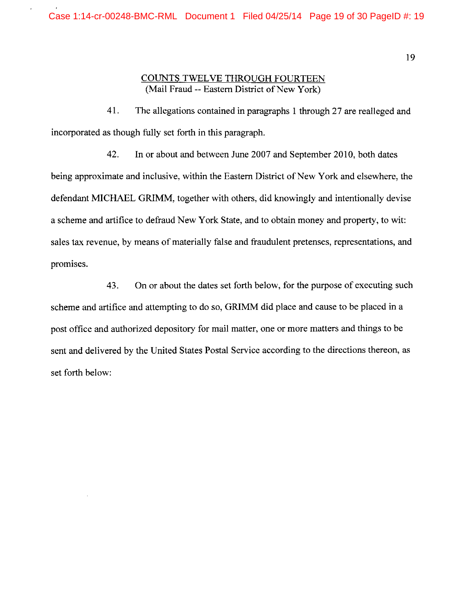### COUNTS TWELVE THROUGH FOURTEEN (Mail Fraud -- Eastern District of New York)

41. The allegations contained in paragraphs 1 through 27 are realleged and incorporated as though fully set forth in this paragraph.

42. In or about and between June 2007 and September 2010, both dates being approximate and inclusive, within the Eastern District of New York and elsewhere, the defendant MICHAEL GRIMM, together with others, did knowingly and intentionally devise a scheme and artifice to defraud New York State, and to obtain money and property, to wit: sales tax revenue, by means of materially false and fraudulent pretenses, representations, and promises.

43. On or about the dates set forth below, for the purpose of executing such scheme and artifice and attempting to do so, GRIMM did place and cause to be placed in a post office and authorized depository for mail matter, one or more matters and things to be sent and delivered by the United States Postal Service according to the directions thereon, as set forth below: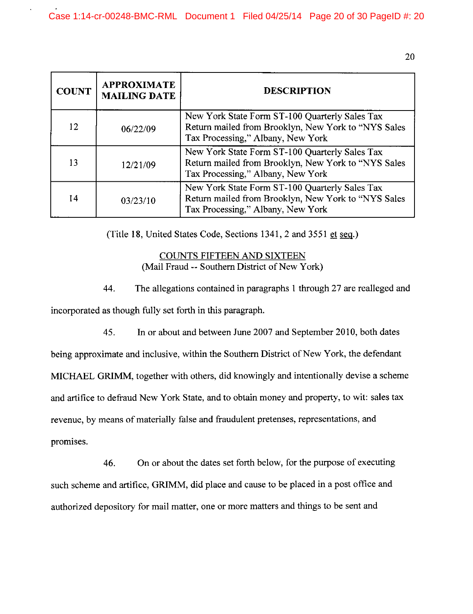| <b>COUNT</b> | <b>APPROXIMATE</b><br><b>MAILING DATE</b>                                                                                                              | <b>DESCRIPTION</b>                                                                                                                         |
|--------------|--------------------------------------------------------------------------------------------------------------------------------------------------------|--------------------------------------------------------------------------------------------------------------------------------------------|
| 12           | 06/22/09                                                                                                                                               | New York State Form ST-100 Quarterly Sales Tax<br>Return mailed from Brooklyn, New York to "NYS Sales<br>Tax Processing," Albany, New York |
| 13           | New York State Form ST-100 Quarterly Sales Tax<br>Return mailed from Brooklyn, New York to "NYS Sales<br>12/21/09<br>Tax Processing," Albany, New York |                                                                                                                                            |
| 14           | 03/23/10                                                                                                                                               | New York State Form ST-100 Quarterly Sales Tax<br>Return mailed from Brooklyn, New York to "NYS Sales<br>Tax Processing," Albany, New York |

(Title 18, United States Code, Sections 1341, 2 and 3551 et seq.)

COUNTS FIFTEEN AND SIXTEEN (Mail Fraud -- Southern District of New York)

44. The allegations contained in paragraphs I through 27 are realleged and incorporated as though fully set forth in this paragraph.

45. In or about and between June 2007 and September 2010, both dates being approximate and inclusive, within the Southern District of New York, the defendant MICHAEL GRIMM, together with others, did knowingly and intentionally devise a scheme and artifice to defraud New York State, and to obtain money and property, to wit: sales tax revenue, by means of materially false and fraudulent pretenses, representations, and promises.

46. On or about the dates set forth below, for the purpose of executing such scheme and artifice, GRIMM, did place and cause to be placed in a post office and authorized depository for mail matter, one or more matters and things to be sent and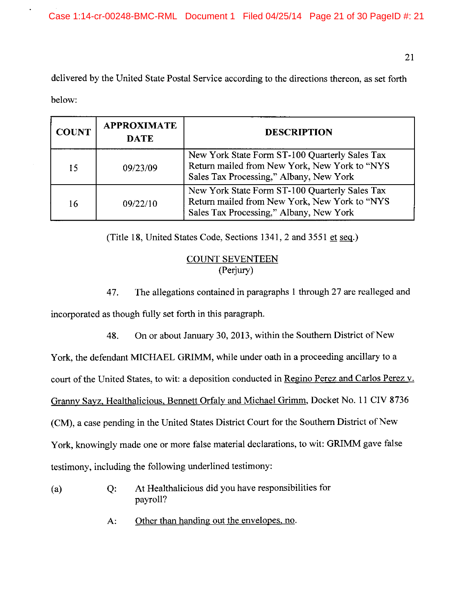21

delivered by the United State Postal Service according to the directions thereon, as set forth below:

| <b>COUNT</b>   | <b>APPROXIMATE</b><br><b>DATE</b> | <b>DESCRIPTION</b>                                                                                                                         |  |
|----------------|-----------------------------------|--------------------------------------------------------------------------------------------------------------------------------------------|--|
| 15             | 09/23/09                          | New York State Form ST-100 Quarterly Sales Tax<br>Return mailed from New York, New York to "NYS<br>Sales Tax Processing," Albany, New York |  |
| 16<br>09/22/10 |                                   | New York State Form ST-100 Quarterly Sales Tax<br>Return mailed from New York, New York to "NYS<br>Sales Tax Processing," Albany, New York |  |

(Title 18, United States Code, Sections 1341, 2 and 3551 et seq.)

# COUNT SEVENTEEN (Perjury)

47. The allegations contained in paragraphs 1 through 27 are realleged and incorporated as though fully set forth in this paragraph.

48. On or about January 30, 2013, within the Southern District of New

York, the defendant MICHAEL GRIMM, while under oath in a proceeding ancillary to a

court of the United States, to wit: a deposition conducted in Regino Perez and Carlos Perez v.

Granny Sayz, Healthalicious, Bennett Orfaly and Michael Grimm, Docket No. 11 CIV 8736

(CM), a case pending in the United States District Court for the Southern District of New

York, knowingly made one or more false material declarations, to wit: GRIMM gave false

testimony, including the following underlined testimony:

- (a) Q: At Healthalicious did you have responsibilities for payroll?
	- A: Other than handing out the envelopes, no.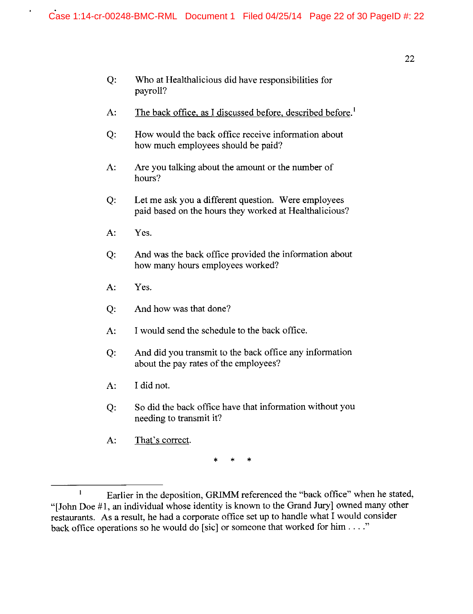- Q: Who at Healthalicious did have responsibilities for payroll?
- A: The back office, as I discussed before, described before.<sup>1</sup>
- Q: How would the back office receive information about how much employees should be paid?
- A: Are you talking about the amount or the number of hours?
- Q: Let me ask you a different question. Were employees paid based on the hours they worked at Healthalicious?
- A: Yes.
- Q: And was the back office provided the information about how many hours employees worked?
- A: Yes.
- Q: And how was that done?
- A: I would send the schedule to the back office.
- Q: And did you transmit to the back office any information about the pay rates of the employees?
- A: I did not.
- Q: So did the back office have that information without you needing to transmit it?
- A: That's correct.

\* \* \*

 $\mathbf{I}$ Earlier in the deposition, GRIMM referenced the "back office" when he stated, "[John Doe #1, an individual whose identity is known to the Grand Jury] owned many other restaurants. As a result, he had a corporate office set up to handle what I would consider back office operations so he would do [sic] or someone that worked for him . . . ."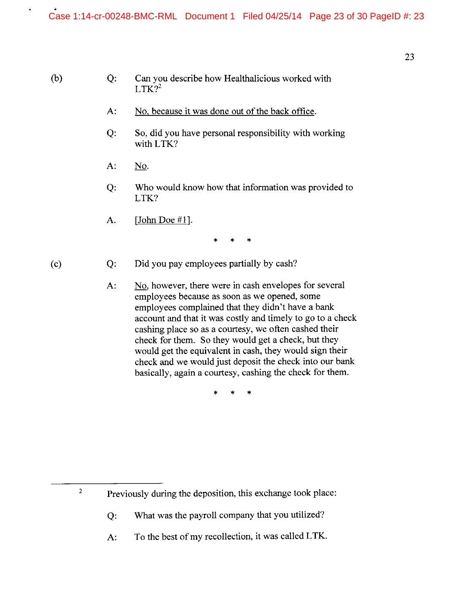# Q: Can you describe how Healthalicious worked with  $LTK$ ?<sup>2</sup>

- A: No, because it was done out of the back office.
- Q: So, did you have personal responsibility with working with LTK?
- A: No.
- Q: Who would know how that information was provided to LTK?
- A.  $[John Doe #1].$

\* \* \*

Q: Did you pay employees partially by cash?

### (c)

2

(b)

A: No, however, there were in cash envelopes for several employees because as soon as we opened, some employees complained that they didn't have a bank account and that it was costly and timely to go to a check cashing place so as a courtesy, we often cashed their check for them. So they would get a check, but they would get the equivalent in cash, they would sign their check and we would just deposit the check into our bank basically, again a courtesy, cashing the check for them.

\* \* \*

Previously during the deposition, this exchange took place:

Q: What was the payroll company that you utilized?

A: To the best of my recollection, it was called **LTK.**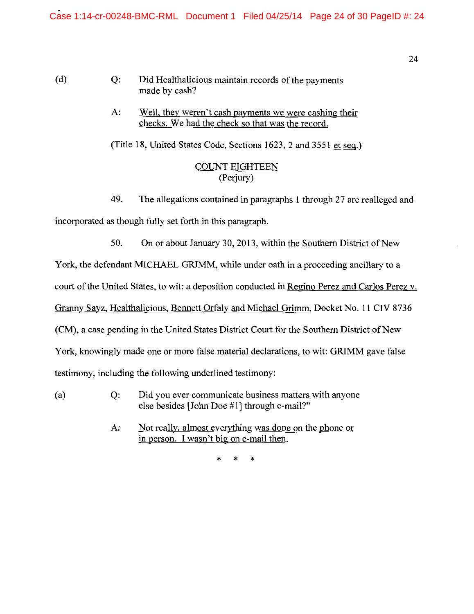(d) Q: Did Healthalicious maintain records of the payments made by cash?

> A: Well, they weren't cash payments we were cashing their checks. We had the check so that was the record.

(Title 18, United States Code, Sections 1623, 2 and 3551 et seq.)

# COUNT EIGHTEEN (Perjury)

49. The allegations contained in paragraphs 1 through 27 are realleged and

incorporated as though fully set forth in this paragraph.

50. On or about January 30, 2013, within the Southern District of New

York, the defendant MICHAEL GRIMM, while under oath in a proceeding ancillary to a

court of the United States, to wit: a deposition conducted in Regino Perez and Carlos Perez v.

Granny Sayz, Healthalicious, Bennett Orfaly and Michael Grimm, Docket No. 11 CIV 8736

(CM), a case pending in the United States District Court for the Southern District of New

York, knowingly made one or more false material declarations, to wit: GRIMM gave false

testimony, including the following underlined testimony:

- (a) Q: Did you ever communicate business matters with anyone else besides [John Doe #1] through e-mail?"
	- A: Not really, almost everything was done on the phone or in person. I wasn't big on e-mail then.

\* \* \*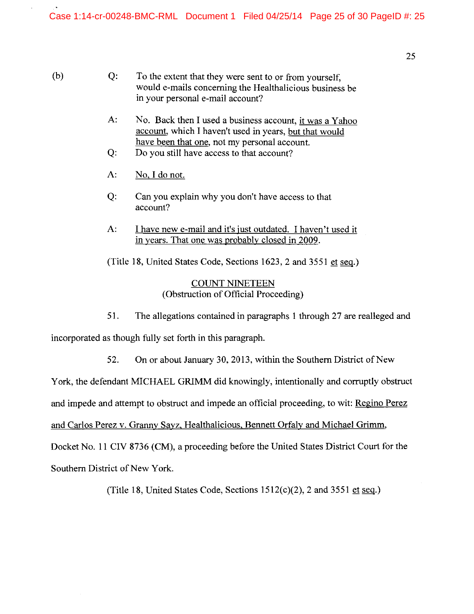- (b) Q: To the extent that they were sent to or from yourself, would e-mails concerning the Healthalicious business be in your personal e-mail account?
	- A: No. Back then I used a business account, it was a Yahoo account, which I haven't used in years, but that would have been that one, not my personal account.
	- Q: Do you still have access to that account?
	- A: No, I do not.
	- Q: Can you explain why you don't have access to that account?
	- A: I have new e-mail and it's just outdated. I haven't used it in years. That one was probably closed in 2009.

(Title 18, United States Code, Sections 1623, 2 and 3551 et seg.)

COUNT NINETEEN (Obstruction of Official Proceeding)

51. The allegations contained in paragraphs 1 through 27 are realleged and

incorporated as though fully set forth in this paragraph.

52. On or about January 30, 2013, within the Southern District of New

York, the defendant MICHAEL GRIMM did knowingly, intentionally and corruptly obstruct

and impede and attempt to obstruct and impede an official proceeding, to wit: Regino Perez

and Carlos Perez v. Granny Sayz, Healthalicious, Bennett Orfaly and Michael Grimm,

Docket No. 11 CIV 8736 (CM), a proceeding before the United States District Court for the Southern District of New York.

(Title 18, United States Code, Sections  $1512(c)(2)$ , 2 and  $3551$  et seq.)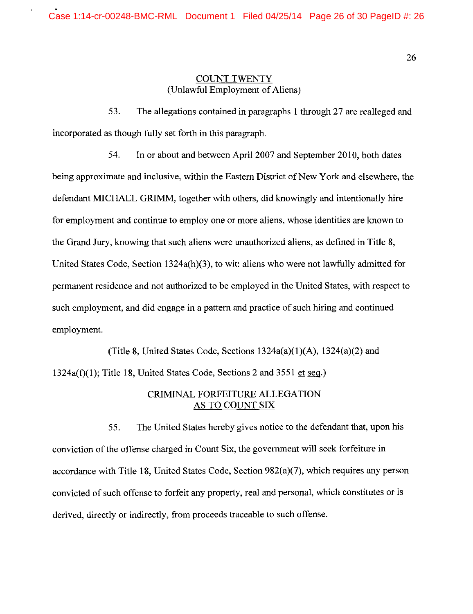### COUNT TWENTY (Unlawful Employment of Aliens)

53. The allegations contained in paragraphs 1 through 27 are realleged and incorporated as though fully set forth in this paragraph.

54. In or about and between April 2007 and September 2010, both dates being approximate and inclusive, within the Eastern District of New York and elsewhere, the defendant MICHAEL GRIMM, together with others, did knowingly and intentionally hire for employment and continue to employ one or more aliens, whose identities are known to the Grand Jury, knowing that such aliens were unauthorized aliens, as defined in Title 8, United States Code, Section 1324a(h)(3), to wit: aliens who were not lawfully admitted for permanent residence and not authorized to be employed in the United States, with respect to such employment, and did engage in a pattern and practice of such hiring and continued employment.

(Title 8, United States Code, Sections  $1324a(a)(1)(A)$ ,  $1324(a)(2)$  and  $1324a(f)(1)$ ; Title 18, United States Code, Sections 2 and 3551 et seq.)

# CRIMINAL FORFEITURE ALLEGATION AS TO COUNT SIX

55. The United States hereby gives notice to the defendant that, upon his conviction of the offense charged in Count Six, the government will seek forfeiture in accordance with Title 18, United States Code, Section  $982(a)(7)$ , which requires any person convicted of such offense to forfeit any property, real and personal, which constitutes or is derived, directly or indirectly, from proceeds traceable to such offense.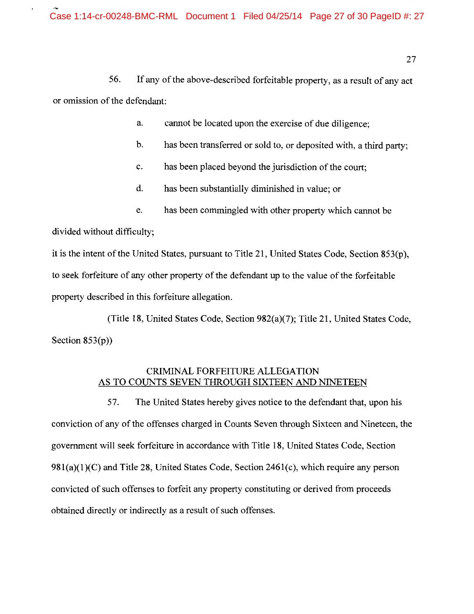56. If any of the above-described forfeitable property, as a result of any act or omission of the defendant:

a. cannot be located upon the exercise of due diligence;

- b. has been transferred or sold to, or deposited with, a third party;
- c. has been placed beyond the jurisdiction of the court;
- d. has been substantially diminished in value; or
- e. has been commingled with other property which cannot be

divided without difficulty;

it is the intent of the United States, pursuant to Title 21, United States Code, Section 853(p), to seek forfeiture of any other property of the defendant up to the value of the forfeitable property described in this forfeiture allegation.

(Title 18, United States Code, Section 982(a)(7); Title 21, United States Code, Section  $853(p)$ )

# CRIMINAL FORFEITURE ALLEGATION AS TO COUNTS SEVEN THROUGH SIXTEEN AND NINETEEN

57. The United States hereby gives notice to the defendant that, upon his conviction of any of the offenses charged in Counts Seven through Sixteen and Nineteen, the government will seek forfeiture in accordance with Title 18, United States Code, Section  $981(a)(1)(C)$  and Title 28, United States Code, Section 2461(c), which require any person convicted of such offenses to forfeit any property constituting or derived from proceeds obtained directly or indirectly as a result of such offenses.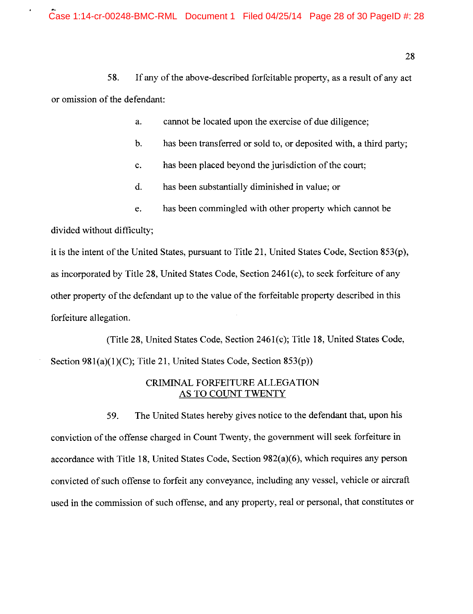58. If any of the above-described forfeitable property, as a result of any act or omission of the defendant:

a. cannot be located upon the exercise of due diligence;

- b. has been transferred or sold to, or deposited with, a third party;
- c. has been placed beyond the jurisdiction of the court;
- d. has been substantially diminished in value; or
- e. has been commingled with other property which cannot be

divided without difficulty;

it is the intent of the United States, pursuant to Title 21, United States Code, Section 853(p), as incorporated by Title  $28$ , United States Code, Section  $2461(c)$ , to seek forfeiture of any other property of the defendant up to the value of the forfeitable property described in this forfeiture allegation.

(Title 28, United States Code, Section 2461(c); Title 18, United States Code, Section  $981(a)(1)(C)$ ; Title 21, United States Code, Section  $853(p)$ )

# CRIMINAL FORFEITURE ALLEGATION AS TO COUNT TWENTY

59. The United States hereby gives notice to the defendant that, upon his conviction of the offense charged in Count Twenty, the government will seek forfeiture in accordance with Title 18, United States Code, Section 982(a)(6), which requires any person convicted of such offense to forfeit any conveyance, including any vessel, vehicle or aircraft used in the commission of such offense, and any property, real or personal, that constitutes or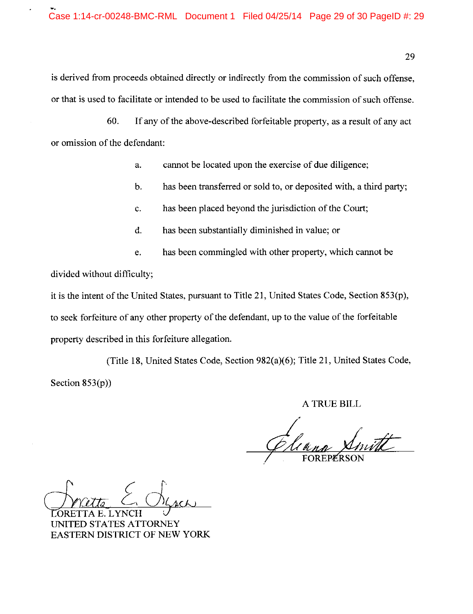is derived from proceeds obtained directly or indirectly from the commission of such offense, or that is used to facilitate or intended to be used to facilitate the commission of such offense.

60. If any of the above-described forfeitable property, as a result of any act or omission of the defendant:

a. cannot be located upon the exercise of due diligence;

- b. has been transferred or sold to, or deposited with, a third party;
- c. has been placed beyond the jurisdiction of the Court;
- d. has been substantially diminished in value; or
- e. has been commingled with other property, which cannot be

divided without difficulty;

it is the intent of the United States, pursuant to Title 21, United States Code, Section 853(p), to seek forfeiture of any other property of the defendant, up to the value of the forfeitable property described in this forfeiture allegation.

(Title 18, United States Code, Section 982(a)(6); Title 21, United States Code, Section  $853(p)$ )

A TRUE BILL

FOREPERSON

Cherrite E. Chines

TED STATES ATTORNEY EASTERN DISTRICT OF NEW YORK